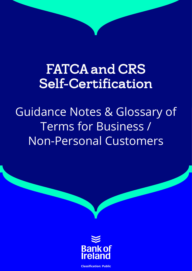# FATCA and CRS Self-Certification

Guidance Notes & Glossary of Terms for Business / Non-Personal Customers



**Classification: Public**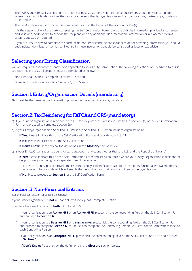- The FATCA and CRS Self-Certification Form for Business Customers / Non-Personal Customers should only be completed where the account holder is other than a natural person, that is, organisations such as corporations, partnerships, trusts and other entities.
- The Self-Certification Form should be completed by, or on the behalf of, the account holder(s).
- It is the responsibility of the party completing the Self-Certification Form to ensure that the information provided is complete and valid and, additionally, to provide the recipient with any additional documentation, information or replacement forms when requested or required.
- If you are unsure how to complete this form or do not understand the consequences of not providing information, you should seek independent legal or tax advice. Nothing in these instructions should be construed as legal or tax advice.

# Selecting your Entity Classification

You are required to identify the entity type applicable to your Entity/Organisation. The following questions are designed to assist you with this process. All Sections must be completed as follows:

- Non-Financial Entities Complete Sections 1, 2, 3 and 6
- Financial Institutions Complete Sections 1, 2, 4, 5 and 6

# Section 1: Entity/Organisation Details (mandatory)

This must be the same as the information provided in the account opening mandate.

# Section 2: Tax Residency for FATCA and CRS (mandatory)

- a) If your Entity/Organisation is resident in the U.S. for tax purposes, please indicate this in Section 2(a) of the Self-Certification Form and proceed to complete Section 2(b).
- b) Is your Entity/Organisation a Specified U.S Person (a Specified U.S. Person includes organisations)?
	- **If Yes:** Please indicate this on the Self-Certification Form and provide your U.S. TIN
	- **If No:** Please indicate this on the Self-Certification Form.
	- **If Don't Know:** Please review the definitions in the **Glossary** section below.
- c) Is your Entity/Organisation resident for tax purposes in any country other than the U.S. and the Republic of Ireland?
	- **If Yes:** Please indicate this on the Self-Certification Form and list all countries where your Entity/Organisation is resident for tax purposes (continuing on a separate sheet if necessary).
		- For each country please provide the relevant Taxpayer Identification Number ("TIN") or its functional equivalent: this is a unique number or code which will enable the tax authority in that country to identify the organisation.
	- **If No:** Please proceed to **Section 3** of the Self-Certification Form.

# Section 3: Non-Financial Entities

(See the Glossary Section for specific definitions)

If your Entity/Organisation is **not** a Financial Institution, please complete Section 3.

Complete the classifications for **both** FATCA and CRS.

- If your organisation is an **Active NFE** or an **Active NFFE**, please tick the corresponding field on the Self-Certification Form and proceed to **Section 6**.
- If your organisation is a **Passive NFE** or a **Passive NFFE**, please tick the corresponding field on the Self-Certification Form and proceed to complete **Section 6**. You must also complete the Controlling Person Self-Certification Form with respect to each Controlling Person.
- IIf your organisation is an **Excepted NFFE**, please tick the corresponding field on the Self-Certification Form and proceed to **Section 6**.
- I**If Don't Know:** Please review the definitions in the **Glossary** section below.

#### **Classification: Public**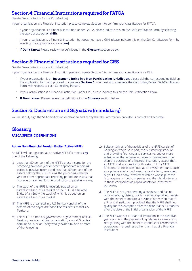# Section 4: Financial Institutions required for FATCA

(See the Glossary Section for specific definitions)

If your organisation is a Financial Institution please complete Section 4 to confirm your classification for FATCA.

- If your organisation is a Financial Institution under FATCA, please indicate this on the Self-Certification Form by selecting the appropriate option **(i-iii)**.
- If your organisation is a Financial Institution but does not have a GIIN, please indicate this on the Self-Certification Form by selecting the appropriate option **(a-e)**.
- **If Don't Know:** Please review the definitions in the **Glossary** section below.

# Section 5: Financial Institutions required for CRS

(See the Glossary Section for specific definitions)

If your organisation is a Financial Institution please complete Section 5 to confirm your classification for CRS.

- If your organisation is an **Investment Entity in a Non-Participating Jurisdiction**, please tick the corresponding field on the application form and proceed to complete **Section 6**. You must also complete the Controlling Person Self-Certification Form with respect to each Controlling Person.
- If your organisation is a Financial Institution under CRS, please indicate this on the Self-Certification Form.
- **If Don't Know:** Please review the definitions in the **Glossary** section below.

# Section 6: Declaration and Signature (mandatory)

You must duly sign the Self-Certification declaration and certify that the information provided is correct and accurate.

# **Glossary FATCA SPECIFIC DEFINITIONS**

# **Active Non-Financial Foreign Entity (Active NFFE)**

An NFFE will be regarded as an Active NFFE if it meets **any** one of the following:

- i.) Less than 50 per cent of the NFFE's gross income for the preceding calendar year or other appropriate reporting period is passive income and less than 50 per cent of the assets held by the NFFE during the preceding calendar year or other appropriate reporting period are assets that produce or are held for the production of passive income;
- ii.) The stock of the NFFE is regularly traded on an established securities market or the NFFE is a Related Entity of an Entity the stock of which is traded on an established securities market;
- iii.) The NFFE is organised in a US Territory and all of the owners of the payee are bona fide residents of that US Territory;
- iv.) The NFFE is a non-US government, a government of a US Territory, an international organisation, a non-US central bank of issue, or an Entity wholly owned by one or more of the foregoing;
- v.) Substantially all of the activities of the NFFE consist of holding (in whole or in part) the outstanding stock of, and providing financing and services to, one or more subsidiaries that engage in trades or businesses other than the business of a Financial Institution, except that an NFFE shall not qualify for this status if the NFFE functions (or holds itself out) as an investment fund, such as a private equity fund, venture capital fund, leveraged buyout fund or any investment vehicle whose purpose is to acquire or fund companies and then hold interests in those companies as capital assets for investment purposes;
- vi.) The NFFE is not yet operating a business and has no prior operating history, but is investing capital into assets with the intent to operate a business other than that of a Financial Institution; provided, that the NFFE shall not qualify for this exception after the date that is 24 months after the date of the initial organisation of the NFFE;
- vii.) The NFFE was not a Financial Institution in the past five years, and is in the process of liquidating its assets or is reorganising with the intent to continue or recommence operations in a business other than that of a Financial Institution;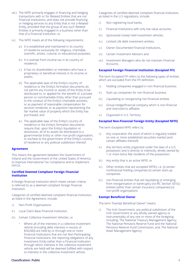- viii.) The NFFE primarily engages in financing and hedging transactions with or for Related Entities that are not Financial Institutions, and does not provide financing or hedging services to any Entity that is not a Related Entity, provided that the group of any such Related Entities is primarily engaged in a business other than that of a Financial Institution; or
- ix.) The NFFE meets all of the following requirements:
	- a.) It is established and maintained in its country of residence exclusively for religious, charitable, scientific, artistic, cultural, or educational purposes;
	- b.) It is exempt from income tax in its country of residence;
	- c.) It has no shareholders or members who have a proprietary or beneficial interest in its income or assets;
	- d.) The applicable laws of the Entity's country of residence or the Entity's formation documents do not permit any income or assets of the Entity to be distributed to, or applied for the benefit of, a private person or noncharitable Entity other than pursuant to the conduct of the Entity's charitable activities, or as payment of reasonable compensation for services rendered, or as payment representing the fair market value of property which the Entity has purchased; and
	- e.) The applicable laws of the Entity's country of residence or the Entity's formation documents require that, upon the Entity's liquidation or dissolution, all of its assets be distributed to a governmental Entity or other non-profit organisation, or escheat to the government of the Entity's country of residence or any political subdivision thereof.

# **Agreement**

This means the agreement between the Government of Ireland and the Government of the United States of America to Improve International Tax Compliance and to Implement FATCA.

## **Certified Deemed Compliant Foreign Financial Institution**

A foreign financial institution which meets certain criteria is referred to as a deemed compliant foreign financial institution.

Categories of certified deemed compliant financial institution, as listed in the Agreement, include:

- i.) Non-Profit Organisations
- ii.) Local Client Base Financial Institution.
- iii.) Certain Collective Investment Vehicles; i.e.
	- Where all of the interests in a collective investment vehicle (including debt interests in excess of \$50,000) are held by or through one or more Financial Institutions that are not Non-Participating Financial Institutions, the reporting obligations of any Investment Entity (other than a Financial Institution through which interests in the collective investment vehicle are held) will be deemed fulfilled with respect to interests in the collective investment vehicle.

Categories of certified deemed compliant financial institution, as listed in the U.S regulations, include:

- i.) Non registering local banks,
- ii.) Financial Institutions with only low value accounts,
- iii.) Sponsored closely held investment vehicles,
- iv.) Limited Life debt investment entities,
- v.) Owner Documented Financial Institutions,
- vi.) Certain Investment Advisors and
- vii.) Investment Managers who do not maintain Financial Accounts.

#### **Excepted Foreign Financial Institution (Excepted FFI)**

The term Excepted FFI refers to the following types of entities which are excluded from the FFI definition;

- i.) Holding companies engaged in non-financial business
- ii.) Start-up companies for non-financial business
- iii.) Liquidating or reorganizing non-financial entities
- iv.) Group hedge/financial company which is non-financial and restricted to affiliates
- v.) Organised in U.S. Territory

# **Excepted Non-Financial Foreign Entity (Excepted NFFE)**

The term Excepted NFFE refers to;

- i.) Any corporation the stock of which is regularly traded on one or more established securities market (and certain affiliates thereof);
- ii.) Any territory entity organized under the laws of a U.S. possession and is directly or indirectly, wholly owned by 1 or more bona fide residents of the possession;
- iii.) Any entity that is an active NFFE; or
- iv.) Other entities that are excepted NFFEs; i.e. (i) certain nonfinancial holding companies (ii) certain start-up companies
- (v.) non-financial entities that are liquidating or emerging from reorganisation or bankruptcy (iv) IRC Section 501(c) entities (other than certain insurance companies) (v) non-profit organisations

# **Exempt Beneficial Owner**

The term "Exempt Beneficial Owner" means

i.) The Irish Government, any political subdivision of the Irish Government or any wholly owned agency or instrumentality of any one or more of the foregoing including: The National Treasury Management Agency, The National Pensions Reserve Fund and the National Pensions Reserve Fund Commission, and, The National Asset Management Agency;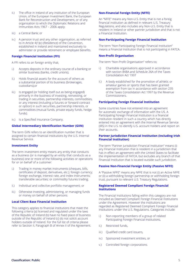- ii.) The office in Ireland of any institution of the European Union, of the European Investment Bank, the European Bank for Reconstruction and Development, or of any organisation to which the Diplomatic Relations and Immunities Acts 1967 – 2006 apply;
- iii.) a Central Bank; or
- iv.) A pension trust and any other organisation, as referred to in Article 4(1)(c) (Residence) of the Convention, established in Ireland and maintained exclusively to administer or provide retirement or employee benefits.

# **Foreign Financial Institution (FFI)**

A FFI refers to an foreign entity that;

- i.) Accepts deposits in the ordinary course of a banking or similar business (banks, credit unions),
- ii.) Holds financial assets for the account of others as a substantial portion of its business (brokerages, custodians),or
- iii.) Is engaged (or holding itself out as being engaged) primarily in the business of investing, reinvesting, or trading in securities, partnership interests, commodities, or any interest (including a futures or forward contract or option) in such securities, partnership interests, or commodities (mutual funds, private equity funds, hedge funds).
- iv.) Is a Specified Insurance Company.

# **Global Intermediary Identification Number (GIIN)**

The term GIIN refers to an identification number that is assigned to certain financial institutions by the U.S. Internal Revenue Service.

# **Investment Entity**

The term investment entity means any entity that conducts as a business (or is managed by an entity that conducts as a business) one or more of the following activities or operations for or on behalf of a customer:

- i.) Trading in money market instruments (cheques, bills, certificates of deposit, derivatives, etc.); foreign currency; foreign exchange, interest rate, and index instruments; transferable securities; or commodity futures trading;
- ii.) Individual and collective portfolio management; or
- iii.) Otherwise investing, administering, or managing funds or money on behalf of other persons.

# **Local Client Base Financial Institution**

This category applies to financial institutions that meet the following criteria (a) licensed and regulated under the laws of the Republic of Ireland (b) have no fixed place of business outside of the Republic of Ireland (c) do not solicit account holders outside of Ireland. For the full list of criteria please refer to Section II, Paragraph B of Annex II of the Agreement.

# **Non-Financial Foreign Entity (NFFE)**

An "NFFE" means any Non-U.S. Entity that is not a foreig financial institution as defined in relevant U.S. Treasury Regulations, and also includes any Non-U.S. Entity that is resident in Ireland or other partner jurisdiction and that is not a Financial Institution.

#### **Non-Participating Foreign Financial Institution**

The term "Non-Participating Foreign Financial Institution" means a Financial Institution that is not participating in FATCA.

## **Non-Profit Organisation**

The term "Non-Profit Organisation" refers to;

- i.) Charitable organisations approved in accordance with section 848A and Schedule 26A of the Taxes Consolidation Act 1997
- ii.) A body established for the promotion of athletic or amateur games or sports that has been granted exemption from tax in accordance with section 235 of the Taxes Consolidation Act 1997 by the Revenue Commissioners.

#### **Participating Foreign Financial Institution**

Some countries have not entered into an agreement for automatic exchange of information with the US. A Participating Foreign Financial Institution is a financial institution resident in such a country which has directly entered into an agreement with the Internal Revenue Service (IRS) in the U.S. to identify U.S. account holders and report on their accounts.

# **Partner Jurisdiction Financial Institution (including Irish Financial Institution)**

The term "Partner Jurisdiction Financial Institution" means (i) any Financial Institution that is resident in a jurisdiction that has in effect an agreement with the United States to facilitate the implementation of FATCA, but excludes any branch of that Financial Institution that is located outside such jurisdiction.

#### **Passive Non-Financial Foreign Entity (Passive NFFE)**

A "Passive NFFE" means any NFFE that is not (i) an Active NFFE or (ii) a withholding foreign partnership or withholding foreign trust, pursuant to relevant U.S. Treasury Regulations.

#### **Registered Deemed Compliant Foreign Financial Institutions**

The Financial Institutions falling within this category are not included as Deemed Compliant Foreign Financial Institutions under the Agreement. However the institutions are regarded as Registered Deemed Compliant Foreign Financial Institutions under the U.S. Regulations. Categories include:

- i.) Non-reporting members of a group of related Participating Foreign Financial Institutions,
- ii.) Restricted funds,
- iii.) Oualified credit card issuers,
- iv.) Sponsored investment entities, or
- v.) Controlled foreign corporations.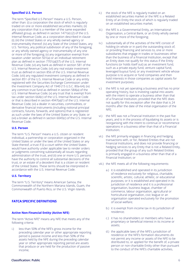# **Specified U.S. Person**

The term "Specified U.S Person" means a U.S. Person, other than: (i) a corporation the stock of which is regularly traded on one or more established securities markets; (ii) any corporation that is a member of the same expanded affiliated group, as defined in section 1471(e) (2) of the U.S. Internal Revenue Code, as a corporation described in clause (i); (iii) the United States or any wholly owned agency or instrumentality thereof; (iv) any State of the United States, any U.S. Territory, any political subdivision of any of the foregoing, or any wholly owned agency or instrumentality of any one or more of the foregoing; (v) any organisation exempt from taxation under section 501(a) or an individual retirement plan as defined in section 7701(a)(37) of the U.S. Internal Revenue Code; (vi) any bank as defined in section 581 of the U.S. Internal Revenue Code; (vii) any real estate investment trust as defined in section 856 of the U.S. Internal Revenue Code; (viii) any regulated investment company as defined in section 851 of the U.S. Internal Revenue Code or any entity registered with the Securities Exchange Commission under the Investment Company Act of 1940 (15 U.S.C. 80a-64); (ix) any common trust fund as defined in section 584(a) of the U.S. Internal Revenue Code; (x) any trust that is exempt from tax under section 664(c) of the U.S. Internal Revenue Code or that is described in section 4947(a)(1) of the U.S. Internal Revenue Code; (xi) a dealer in securities, commodities, or derivative financial instruments (including notional principal contracts, futures, forwards, and options) that is registered as such under the laws of the United States or any State; or (xii) a broker as defined in section 6045(c) of the U.S. Internal Revenue Code.

#### **U.S. Person**

The term "U.S. Person" means a U.S. citizen or resident individual, a partnership or corporation organized in the United States or under the laws of the United States or any State thereof, a trust if (i) a court within the United States would have authority under applicable law to render orders or judgments concerning substantially all issues regarding administration of the trust, and (ii) one or more U.S. persons have the authority to control all substantial decisions of the trust, or an estate of a decedent that is a citizen or resident of the United States. These terms should be interpreted in accordance with the U.S. Internal Revenue Code.

#### **U.S. Territory**

The term "U.S. Territory" means American Samoa, the Commonwealth of the Northern Mariana Islands, Guam, the Commonwealth of Puerto Rico, or the U.S. Virgin Islands.

# **FATCA SPECIFIC DEFINITIONS**

#### **Active Non-Financial Entity (Active NFE)**

The term "Active NFE" means any NFE that meets any of the following criteria:

i.) less than 50% of the NFE's gross income for the preceding calendar year or other appropriate reporting period is passive income and less than 50% of the assets held by the NFE during the preceding calendar year or other appropriate reporting period are assets that produce or are held for the production of passive income;

- ii.) the stock of the NFE is regularly traded on an established securities market or the NFE is a Related Entity of an Entity the stock of which is regularly traded on an established securities market;
- iii.) the NFE is a Governmental Entity, an International Organisation, a Central Bank, or an Entity wholly owned by one or more of the foregoing;
- iv.) substantially all of the activities of the NFE consist of holding (in whole or in part) the outstanding stock of, or providing financing and services to, one or more subsidiaries that engage in trades or businesses other than the business of a Financial Institution, except that an Entity does not qualify for this status if the Entity functions (or holds itself out) as an investment fund, such as a private equity fund, venture capital fund, leveraged buyout fund, or any investment vehicle whose purpose is to acquire or fund companies and then hold interests in those companies as capital assets for investment purposes;
- v.) the NFE is not yet operating a business and has no prior operating history, but is investing capital into assets with the intent to operate a business other than that of a Financial Institution, provided that the NFE does not qualify for this exception after the date that is 24 months after the date of the initial organisation of the NFE;
- vi.) the NFE was not a Financial Institution in the past five years, and is in the process of liquidating its assets or is reorganising with the intent to continue or recommence operations in a business other than that of a Financial Institution;
- vii.) the NFE primarily engages in financing and hedging transactions with, or for, Related Entities that are not Financial Institutions, and does not provide financing or hedging services to any Entity that is not a Related Entity, provided that the group of any such Related Entities is primarily engaged in a business other than that of a Financial Institution; or
- viii.) the NFE meets all of the following requirements:
	- a.) it is established and operated in its jurisdiction of residence exclusively for religious, charitable, scientific, artistic, cultural, athletic, or educational purposes; or it is established and operated in its jurisdiction of residence and it is a professional organisation, business league, chamber of commerce, labour organisation, agricultural or horticultural organisation, civic league or an organisation operated exclusively for the promotion of social welfare;
	- b.) it is exempt from income tax in its jurisdiction of residence;
	- c.) it has no shareholders or members who have a proprietary or beneficial interest in its income or assets;
	- d.) the applicable laws of the NFE's jurisdiction of residence or the NFE's formation documents do not permit any income or assets of the NFE to be distributed to, or applied for the benefit of, a private person or non-charitable Entity other than pursuant to the conduct of the NFE's charitable activities,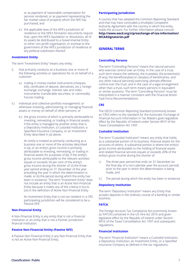or as payment of reasonable compensation for services rendered, or as payment representing the fair market value of property which the NFE has purchased; and

e.) the applicable laws of the NFE's jurisdiction of residence or the NFE's formation documents require that, upon the NFE's liquidation or dissolution, all of its assets be distributed to a Governmental Entity or other non-profit organisation, or escheat to the government of the NFE's jurisdiction of residence or any political subdivision thereof.

# **Investment Entity**

The term "Investment Entity" means any entity:

- i) that primarily conducts as a business one or more of the following activities or operations for or on behalf of a customer:
	- a.) trading in money market instruments (cheques, bills, certificates of deposit, derivatives, etc.); foreign exchange; exchange, interest rate and index instruments; transferable securities; or commodity futures trading;
- ii.) individual and collective portfolio management; or otherwise investing, administering, or managing financial assets or money on behalf of other persons; or
	- b.) the gross income of which is primarily attributable to investing, reinvesting, or trading in financial assets, if the entity is managed by another entity that is a Depository Institution, a Custodial Institution, a Specified Insurance Company, or an Investment Entity described in (a) above.

 An entity is treated as primarily conducting as a business one or more of the activities described in (a), or an entity's gross income is primarily attributable to investing, reinvesting, or trading in financial assets for purposes of (b), if the entity's gross income attributable to the relevant activities equals or exceeds 50 per cent of the entity's gross income during the shorter of: (i) the threeyear period ending on 31 December of the year preceding the year in which the determination is made; or (ii) the period during which the entity has been in existence. The term "Investment Entity" does not include an entity that is an Active Non-Financial Entity because it meets any of the criteria in (iv) to (vii) in the definition of Active Non-Financial Entity.

 An Investment Entity that is not tax resident in a CRS participating jurisdiction will be considered to be a Passive NFE.

# **Non-Financial Entity**

A Non-Financial Entity is any entity that is not a Financial Institution or an entity that is not a Partner Jurisdiction financial Institution.

# **Passive Non-Financial Entity (Passive NFE)**

A Passive Non-Financial Entity is any Non-Financial Entity that is not an Active Non-Financial Entity.

# **Participating Jurisdiction**

A country that has adopted the Common Reporting Standard and that may have concluded a (multiple) Competent Authority Agreement with the country in which the entity holds the account. For further information please consult: **[http://www.oecd.org/ctp/exchange-of-tax-information/](http://www.oecd.org/ctp/exchange-of-tax-information/MCAASignatories.pdf) MCAASignatories.pdf**

# **GENERAL TERMS**

#### **Controlling Persons**

The term "Controlling Persons" means the natural persons who exercise control over an Entity. In the case of a trust, such term means the settlor(s), the trustee(s), the protector(s) (if any), the beneficiary(ies) or class(es) of beneficiaries, and any other natural person(s) exercising ultimate effective control over the trust, and in the case of a legal arrangement other than a trust, such term means persons in equivalent or similar positions. The term "Controlling Persons" must be interpreted in a manner consistent with the Financial Action Task Force Recommendations.

# **CRS**

The OECD Common Reporting Standard (commonly known as 'CRS') refers to the standard for the Automatic Exchange of Financial Account Information in Tax Matters given legislative effect by the Republic of Ireland under Section 891F of the Taxes Consolidation Act 1997.

#### **Custodial Institution**

The term "Custodial Institution" means any entity that holds, as a substantial portion of its business, financial assets for the accounts of others. A substantial portion is where the entity's gross income attributable to the holding of financial assets and related financial services equals or exceeds 20% of the entity's gross income during the shorter of:

- i.) The three-year period that ends on 31 December (or the final day of a non-calendar year the account period) prior to the year in which the determination is being made, and
- ii.) The period during which the entity has been in existence

# **Depository Institution**

The term "Depository Institution" means any Entity that accepts deposits in the ordinary course of a banking or similar business.

# **FATCA**

The Foreign Account Tax Compliance Act (commonly known as 'FATCA') contained in the US Hire Act 2010 and given legislative effect by the Republic of Ireland under Section 891E of the Taxes Consolidation Act 1997 and subsequent regulations.

## **Financial Institution**

The term "Financial Institution" means a Custodial Institution, a Depository Institution, an Investment Entity, or a Specified Insurance Company as defined in the tax regulations.